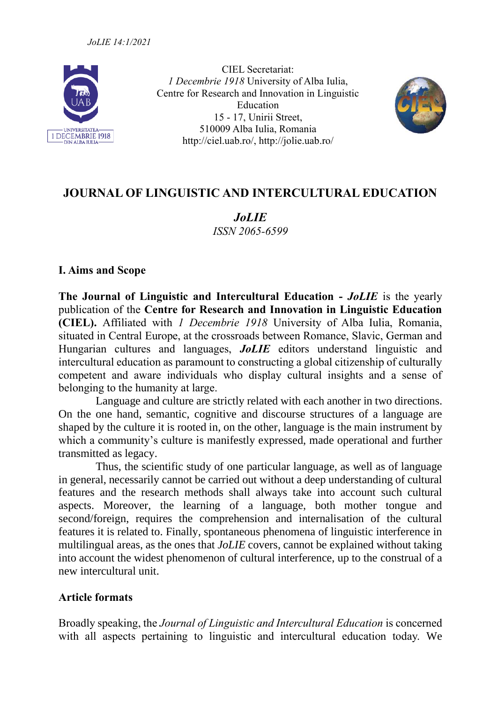

CIEL Secretariat: *1 Decembrie 1918* University of Alba Iulia, Centre for Research and Innovation in Linguistic Education 15 - 17, Unirii Street, 510009 Alba Iulia, Romania http://ciel.uab.ro/, http://jolie.uab.ro/



# **JOURNAL OF LINGUISTIC AND INTERCULTURAL EDUCATION**

*JoLIE ISSN 2065-6599*

#### **I. Aims and Scope**

**The Journal of Linguistic and Intercultural Education -** *JoLIE* is the yearly publication of the **Centre for Research and Innovation in Linguistic Education (CIEL).** Affiliated with *1 Decembrie 1918* University of Alba Iulia, Romania, situated in Central Europe, at the crossroads between Romance, Slavic, German and Hungarian cultures and languages, *JoLIE* editors understand linguistic and intercultural education as paramount to constructing a global citizenship of culturally competent and aware individuals who display cultural insights and a sense of belonging to the humanity at large.

Language and culture are strictly related with each another in two directions. On the one hand, semantic, cognitive and discourse structures of a language are shaped by the culture it is rooted in, on the other, language is the main instrument by which a community's culture is manifestly expressed, made operational and further transmitted as legacy.

Thus, the scientific study of one particular language, as well as of language in general, necessarily cannot be carried out without a deep understanding of cultural features and the research methods shall always take into account such cultural aspects. Moreover, the learning of a language, both mother tongue and second/foreign, requires the comprehension and internalisation of the cultural features it is related to. Finally, spontaneous phenomena of linguistic interference in multilingual areas, as the ones that *JoLIE* covers, cannot be explained without taking into account the widest phenomenon of cultural interference, up to the construal of a new intercultural unit.

#### **Article formats**

Broadly speaking, the *Journal of Linguistic and Intercultural Education* is concerned with all aspects pertaining to linguistic and intercultural education today. We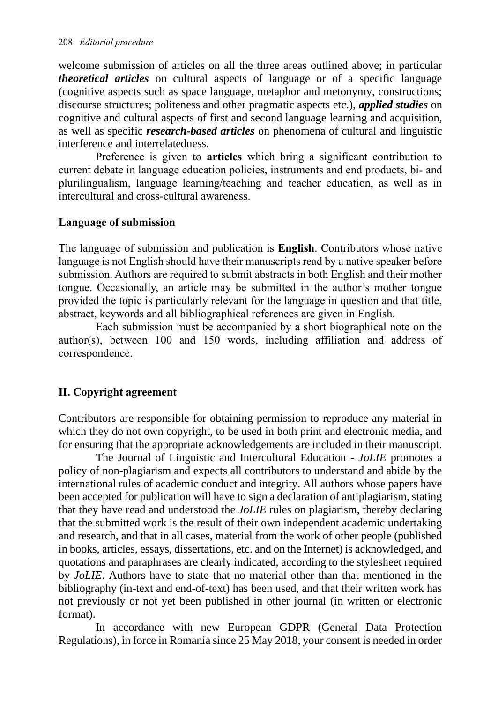welcome submission of articles on all the three areas outlined above; in particular *theoretical articles* on cultural aspects of language or of a specific language (cognitive aspects such as space language, metaphor and metonymy, constructions; discourse structures; politeness and other pragmatic aspects etc.), *applied studies* on cognitive and cultural aspects of first and second language learning and acquisition, as well as specific *research-based articles* on phenomena of cultural and linguistic interference and interrelatedness.

Preference is given to **articles** which bring a significant contribution to current debate in language education policies, instruments and end products, bi- and plurilingualism, language learning/teaching and teacher education, as well as in intercultural and cross-cultural awareness.

#### **Language of submission**

The language of submission and publication is **English**. Contributors whose native language is not English should have their manuscripts read by a native speaker before submission. Authors are required to submit abstracts in both English and their mother tongue. Occasionally, an article may be submitted in the author's mother tongue provided the topic is particularly relevant for the language in question and that title, abstract, keywords and all bibliographical references are given in English.

Each submission must be accompanied by a short biographical note on the author(s), between 100 and 150 words, including affiliation and address of correspondence.

#### **II. Copyright agreement**

Contributors are responsible for obtaining permission to reproduce any material in which they do not own copyright, to be used in both print and electronic media, and for ensuring that the appropriate acknowledgements are included in their manuscript.

The Journal of Linguistic and Intercultural Education - *JoLIE* promotes a policy of non-plagiarism and expects all contributors to understand and abide by the international rules of academic conduct and integrity. All authors whose papers have been accepted for publication will have to sign a declaration of antiplagiarism, stating that they have read and understood the *JoLIE* rules on plagiarism, thereby declaring that the submitted work is the result of their own independent academic undertaking and research, and that in all cases, material from the work of other people (published in books, articles, essays, dissertations, etc. and on the Internet) is acknowledged, and quotations and paraphrases are clearly indicated, according to the stylesheet required by *JoLIE*. Authors have to state that no material other than that mentioned in the bibliography (in-text and end-of-text) has been used, and that their written work has not previously or not yet been published in other journal (in written or electronic format).

In accordance with new European GDPR (General Data Protection Regulations), in force in Romania since 25 May 2018, your consent is needed in order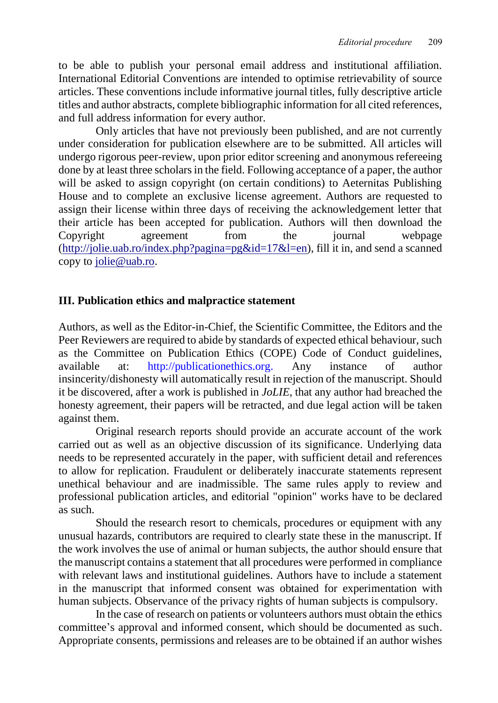to be able to publish your personal email address and institutional affiliation. International Editorial Conventions are intended to optimise retrievability of source articles. These conventions include informative journal titles, fully descriptive article titles and author abstracts, complete bibliographic information for all cited references, and full address information for every author.

Only articles that have not previously been published, and are not currently under consideration for publication elsewhere are to be submitted. All articles will undergo rigorous peer-review, upon prior editor screening and anonymous refereeing done by at least three scholars in the field. Following acceptance of a paper, the author will be asked to assign copyright (on certain conditions) to Aeternitas Publishing House and to complete an exclusive license agreement. Authors are requested to assign their license within three days of receiving the acknowledgement letter that their article has been accepted for publication. Authors will then download the Copyright agreement from the journal webpage  $(\text{http://jolie.uab.ro/index.php?pagina=pg&id=17&l=en})$ , fill it in, and send a scanned copy to [jolie@uab.ro.](mailto:jolie@uab.ro)

### **III. Publication ethics and malpractice statement**

Authors, as well as the Editor-in-Chief, the Scientific Committee, the Editors and the Peer Reviewers are required to abide by standards of expected ethical behaviour, such as the Committee on Publication Ethics (COPE) Code of Conduct guidelines, available at: [http://publicationethics.org.](http://publicationethics.org/) Any instance of author insincerity/dishonesty will automatically result in rejection of the manuscript. Should it be discovered, after a work is published in *JoLIE*, that any author had breached the honesty agreement, their papers will be retracted, and due legal action will be taken against them.

Original research reports should provide an accurate account of the work carried out as well as an objective discussion of its significance. Underlying data needs to be represented accurately in the paper, with sufficient detail and references to allow for replication. Fraudulent or deliberately inaccurate statements represent unethical behaviour and are inadmissible. The same rules apply to review and professional publication articles, and editorial "opinion" works have to be declared as such.

Should the research resort to chemicals, procedures or equipment with any unusual hazards, contributors are required to clearly state these in the manuscript. If the work involves the use of animal or human subjects, the author should ensure that the manuscript contains a statement that all procedures were performed in compliance with relevant laws and institutional guidelines. Authors have to include a statement in the manuscript that informed consent was obtained for experimentation with human subjects. Observance of the privacy rights of human subjects is compulsory.

In the case of research on patients or volunteers authors must obtain the ethics committee's approval and informed consent, which should be documented as such. Appropriate consents, permissions and releases are to be obtained if an author wishes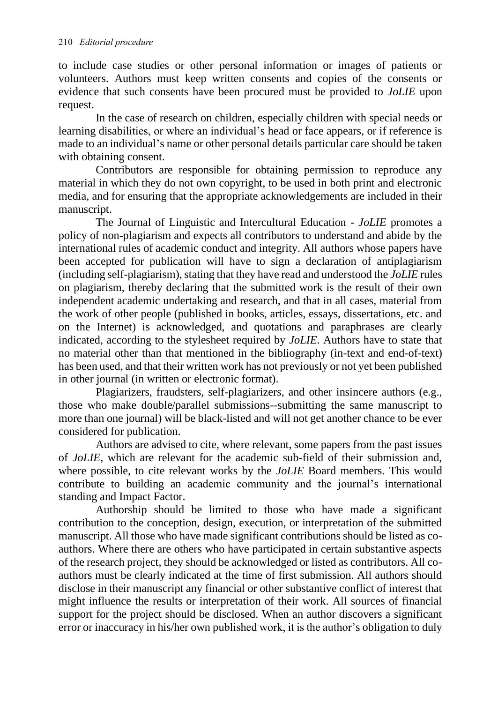to include case studies or other personal information or images of patients or volunteers. Authors must keep written consents and copies of the consents or evidence that such consents have been procured must be provided to *JoLIE* upon request.

In the case of research on children, especially children with special needs or learning disabilities, or where an individual's head or face appears, or if reference is made to an individual's name or other personal details particular care should be taken with obtaining consent.

Contributors are responsible for obtaining permission to reproduce any material in which they do not own copyright, to be used in both print and electronic media, and for ensuring that the appropriate acknowledgements are included in their manuscript.

The Journal of Linguistic and Intercultural Education - *JoLIE* promotes a policy of non-plagiarism and expects all contributors to understand and abide by the international rules of academic conduct and integrity. All authors whose papers have been accepted for publication will have to sign a declaration of antiplagiarism (including self-plagiarism), stating that they have read and understood the *JoLIE* rules on plagiarism, thereby declaring that the submitted work is the result of their own independent academic undertaking and research, and that in all cases, material from the work of other people (published in books, articles, essays, dissertations, etc. and on the Internet) is acknowledged, and quotations and paraphrases are clearly indicated, according to the stylesheet required by *JoLIE*. Authors have to state that no material other than that mentioned in the bibliography (in-text and end-of-text) has been used, and that their written work has not previously or not yet been published in other journal (in written or electronic format).

Plagiarizers, fraudsters, self-plagiarizers, and other insincere authors (e.g., those who make double/parallel submissions--submitting the same manuscript to more than one journal) will be black-listed and will not get another chance to be ever considered for publication.

Authors are advised to cite, where relevant, some papers from the past issues of *JoLIE*, which are relevant for the academic sub-field of their submission and, where possible, to cite relevant works by the *JoLIE* Board members. This would contribute to building an academic community and the journal's international standing and Impact Factor.

Authorship should be limited to those who have made a significant contribution to the conception, design, execution, or interpretation of the submitted manuscript. All those who have made significant contributions should be listed as coauthors. Where there are others who have participated in certain substantive aspects of the research project, they should be acknowledged or listed as contributors. All coauthors must be clearly indicated at the time of first submission. All authors should disclose in their manuscript any financial or other substantive conflict of interest that might influence the results or interpretation of their work. All sources of financial support for the project should be disclosed. When an author discovers a significant error or inaccuracy in his/her own published work, it is the author's obligation to duly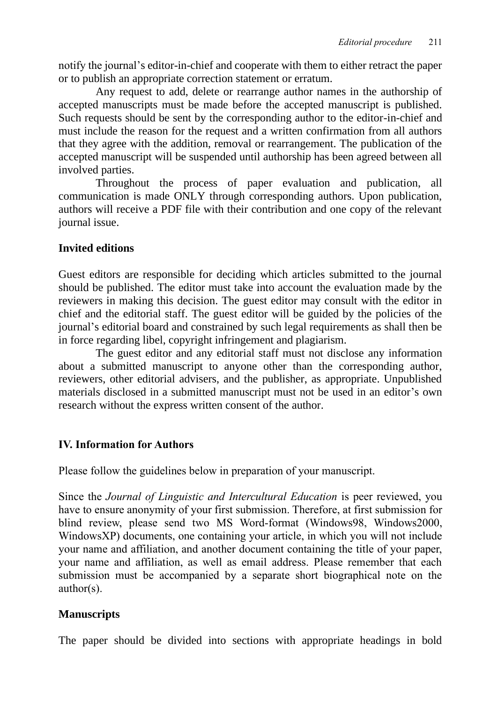notify the journal's editor-in-chief and cooperate with them to either retract the paper or to publish an appropriate correction statement or erratum.

Any request to add, delete or rearrange author names in the authorship of accepted manuscripts must be made before the accepted manuscript is published. Such requests should be sent by the corresponding author to the editor-in-chief and must include the reason for the request and a written confirmation from all authors that they agree with the addition, removal or rearrangement. The publication of the accepted manuscript will be suspended until authorship has been agreed between all involved parties.

Throughout the process of paper evaluation and publication, all communication is made ONLY through corresponding authors. Upon publication, authors will receive a PDF file with their contribution and one copy of the relevant journal issue.

### **Invited editions**

Guest editors are responsible for deciding which articles submitted to the journal should be published. The editor must take into account the evaluation made by the reviewers in making this decision. The guest editor may consult with the editor in chief and the editorial staff. The guest editor will be guided by the policies of the journal's editorial board and constrained by such legal requirements as shall then be in force regarding libel, copyright infringement and plagiarism.

The guest editor and any editorial staff must not disclose any information about a submitted manuscript to anyone other than the corresponding author, reviewers, other editorial advisers, and the publisher, as appropriate. Unpublished materials disclosed in a submitted manuscript must not be used in an editor's own research without the express written consent of the author.

# **IV. Information for Authors**

Please follow the guidelines below in preparation of your manuscript.

Since the *Journal of Linguistic and Intercultural Education* is peer reviewed, you have to ensure anonymity of your first submission. Therefore, at first submission for blind review, please send two MS Word-format (Windows98, Windows2000, WindowsXP) documents, one containing your article, in which you will not include your name and affiliation, and another document containing the title of your paper, your name and affiliation, as well as email address. Please remember that each submission must be accompanied by a separate short biographical note on the author(s).

# **Manuscripts**

The paper should be divided into sections with appropriate headings in bold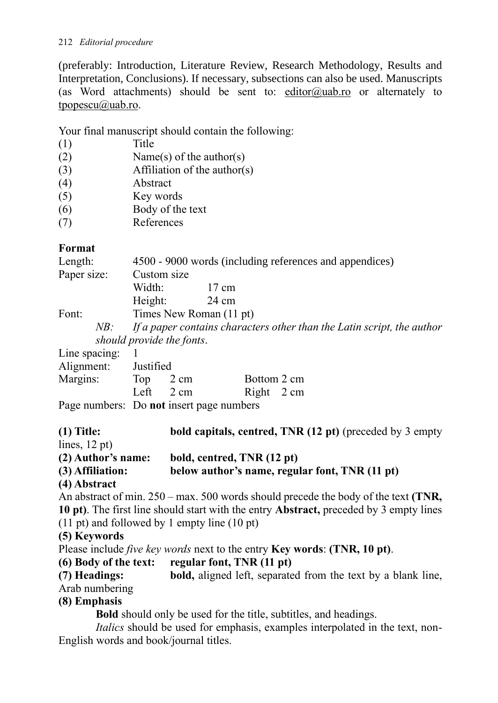#### 212 *Editorial procedure*

(preferably: Introduction, Literature Review, Research Methodology, Results and Interpretation, Conclusions). If necessary, subsections can also be used. Manuscripts (as Word attachments) should be sent to: [editor@uab.ro](mailto:editor@uab.ro) or alternately to [tpopescu@uab.ro.](mailto:tpopescu@uab.ro)

Your final manuscript should contain the following:

- (1) Title
- (2) Name(s) of the author(s)
- (3) Affiliation of the author(s)
- (4) Abstract
- (5) Key words
- (6) Body of the text
- (7) References

# **Format**

| Length:<br>Paper size: | 4500 - 9000 words (including references and appendices)<br>Custom size                              |       |  |  |  |
|------------------------|-----------------------------------------------------------------------------------------------------|-------|--|--|--|
|                        | Width:                                                                                              | 17 cm |  |  |  |
|                        | Height:                                                                                             | 24 cm |  |  |  |
| Font:                  | Times New Roman (11 pt)                                                                             |       |  |  |  |
| NB:                    | If a paper contains characters other than the Latin script, the author<br>should provide the fonts. |       |  |  |  |

| Line spacing: $1$    |                     |                                               |             |  |
|----------------------|---------------------|-----------------------------------------------|-------------|--|
| Alignment: Justified |                     |                                               |             |  |
| Margins:             | Top 2 cm            |                                               | Bottom 2 cm |  |
|                      | Left $2 \text{ cm}$ |                                               | Right 2 cm  |  |
|                      |                     | $P2009$ numberg: $D2$ not insert nage numberg |             |  |

Page numbers: Do **not** insert page numbers

**(1) Title: bold capitals, centred, TNR (12 pt)** (preceded by 3 empty lines, 12 pt) **(2) Author's name: bold, centred, TNR (12 pt) (3) Affiliation: below author's name, regular font, TNR (11 pt) (4) Abstract** An abstract of min. 250 – max. 500 words should precede the body of the text **(TNR, 10 pt)**. The first line should start with the entry **Abstract,** preceded by 3 empty lines (11 pt) and followed by 1 empty line (10 pt) **(5) Keywords** Please include *five key words* next to the entry **Key words**: **(TNR, 10 pt)**. **(6) Body of the text: regular font, TNR (11 pt) (7) Headings: bold,** aligned left, separated from the text by a blank line, Arab numbering **(8) Emphasis Bold** should only be used for the title, subtitles, and headings. *Italics* should be used for emphasis, examples interpolated in the text, non-English words and book/journal titles.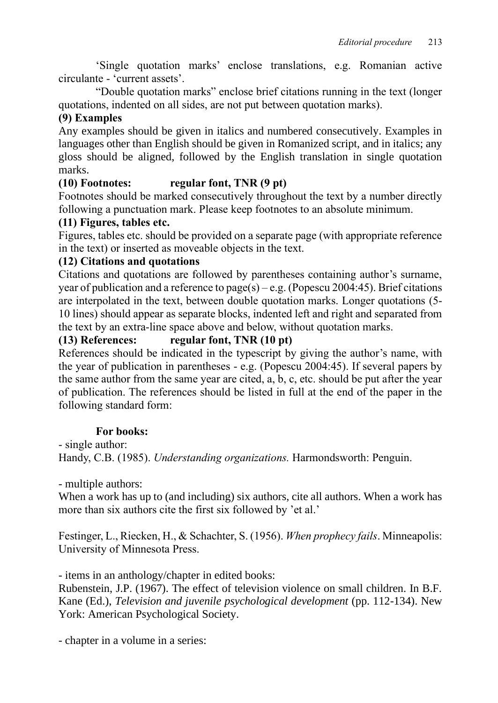'Single quotation marks' enclose translations, e.g. Romanian active circulante - 'current assets'.

"Double quotation marks" enclose brief citations running in the text (longer quotations, indented on all sides, are not put between quotation marks).

## **(9) Examples**

Any examples should be given in italics and numbered consecutively. Examples in languages other than English should be given in Romanized script, and in italics; any gloss should be aligned, followed by the English translation in single quotation marks.

### **(10) Footnotes: regular font, TNR (9 pt)**

Footnotes should be marked consecutively throughout the text by a number directly following a punctuation mark. Please keep footnotes to an absolute minimum.

#### **(11) Figures, tables etc.**

Figures, tables etc. should be provided on a separate page (with appropriate reference in the text) or inserted as moveable objects in the text.

#### **(12) Citations and quotations**

Citations and quotations are followed by parentheses containing author's surname, year of publication and a reference to page(s) – e.g. (Popescu 2004:45). Brief citations are interpolated in the text, between double quotation marks. Longer quotations (5- 10 lines) should appear as separate blocks, indented left and right and separated from the text by an extra-line space above and below, without quotation marks.

#### **(13) References: regular font, TNR (10 pt)**

References should be indicated in the typescript by giving the author's name, with the year of publication in parentheses - e.g. (Popescu 2004:45). If several papers by the same author from the same year are cited, a, b, c, etc. should be put after the year of publication. The references should be listed in full at the end of the paper in the following standard form:

#### **For books:**

- single author:

Handy, C.B. (1985). *Understanding organizations.* Harmondsworth: Penguin.

- multiple authors:

When a work has up to (and including) six authors, cite all authors. When a work has more than six authors cite the first six followed by 'et al.'

Festinger, L., Riecken, H., & Schachter, S. (1956). *When prophecy fails*. Minneapolis: University of Minnesota Press.

- items in an anthology/chapter in edited books:

Rubenstein, J.P. (1967). The effect of television violence on small children. In B.F. Kane (Ed.), *Television and juvenile psychological development* (pp. 112-134). New York: American Psychological Society.

- chapter in a volume in a series: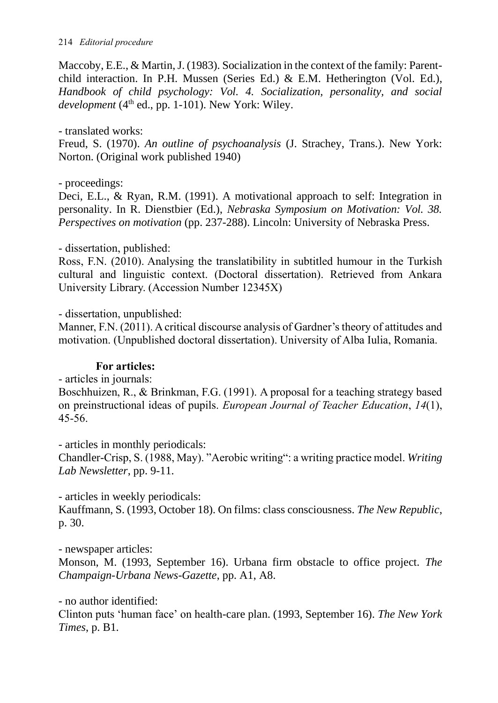Maccoby, E.E., & Martin, J. (1983). Socialization in the context of the family: Parentchild interaction. In P.H. Mussen (Series Ed.) & E.M. Hetherington (Vol. Ed.), *Handbook of child psychology: Vol. 4. Socialization, personality, and social*   $development(4<sup>th</sup> ed., pp. 1-101)$ . New York: Wiley.

#### - translated works:

Freud, S. (1970). *An outline of psychoanalysis* (J. Strachey, Trans.). New York: Norton. (Original work published 1940)

#### - proceedings:

Deci, E.L., & Ryan, R.M. (1991). A motivational approach to self: Integration in personality. In R. Dienstbier (Ed.), *Nebraska Symposium on Motivation: Vol. 38. Perspectives on motivation* (pp. 237-288). Lincoln: University of Nebraska Press.

#### - dissertation, published:

Ross, F.N. (2010). Analysing the translatibility in subtitled humour in the Turkish cultural and linguistic context. (Doctoral dissertation). Retrieved from Ankara University Library. (Accession Number 12345X)

- dissertation, unpublished:

Manner, F.N. (2011). A critical discourse analysis of Gardner's theory of attitudes and motivation. (Unpublished doctoral dissertation). University of Alba Iulia, Romania.

#### **For articles:**

- articles in journals:

Boschhuizen, R., & Brinkman, F.G. (1991). A proposal for a teaching strategy based on preinstructional ideas of pupils. *European Journal of Teacher Education*, *14*(1), 45-56.

- articles in monthly periodicals:

Chandler-Crisp, S. (1988, May). "Aerobic writing": a writing practice model. *Writing Lab Newsletter*, pp. 9-11.

- articles in weekly periodicals:

Kauffmann, S. (1993, October 18). On films: class consciousness. *The New Republic*, p. 30.

- newspaper articles:

Monson, M. (1993, September 16). Urbana firm obstacle to office project. *The Champaign-Urbana News-Gazette*, pp. A1, A8.

- no author identified:

Clinton puts 'human face' on health-care plan. (1993, September 16). *The New York Times*, p. B1.